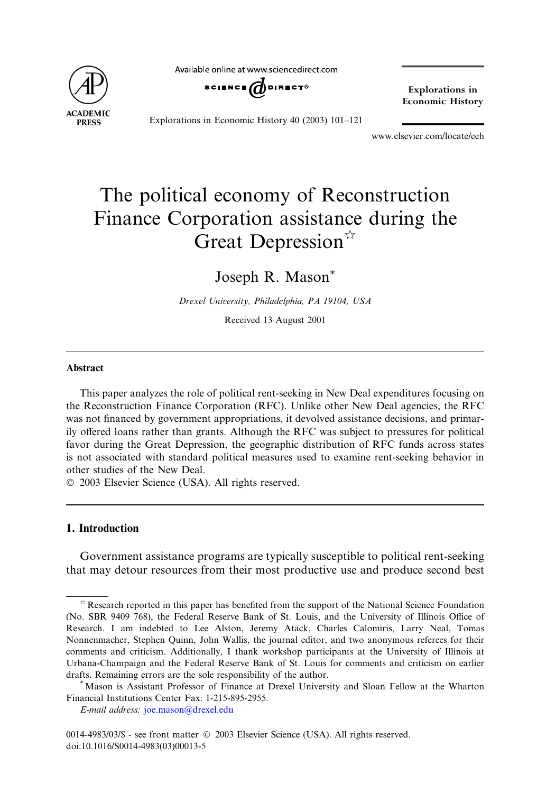

Available online at www.sciencedirect.com



Explorations in Economic History

Explorations in Economic History 40 (2003) 101–121

www.elsevier.com/locate/eeh

# The political economy of Reconstruction Finance Corporation assistance during the Great Depression $\mathbb{R}$

Joseph R. Mason\*

Drexel University, Philadelphia, PA 19104, USA

Received 13 August 2001

## Abstract

This paper analyzes the role of political rent-seeking in New Deal expenditures focusing on the Reconstruction Finance Corporation (RFC). Unlike other New Deal agencies, the RFC was not financed by government appropriations, it devolved assistance decisions, and primarily offered loans rather than grants. Although the RFC was subject to pressures for political favor during the Great Depression, the geographic distribution of RFC funds across states is not associated with standard political measures used to examine rent-seeking behavior in other studies of the New Deal.

2003 Elsevier Science (USA). All rights reserved.

## 1. Introduction

Government assistance programs are typically susceptible to political rent-seeking that may detour resources from their most productive use and produce second best

 $\alpha$  Research reported in this paper has benefited from the support of the National Science Foundation (No. SBR 9409 768), the Federal Reserve Bank of St. Louis, and the University of Illinois Office of Research. I am indebted to Lee Alston, Jeremy Atack, Charles Calomiris, Larry Neal, Tomas Nonnenmacher, Stephen Quinn, John Wallis, the journal editor, and two anonymous referees for their comments and criticism. Additionally, I thank workshop participants at the University of Illinois at Urbana-Champaign and the Federal Reserve Bank of St. Louis for comments and criticism on earlier drafts. Remaining errors are the sole responsibility of the author.<br>\*Mason is Assistant Professor of Finance at Drexel University and Sloan Fellow at the Wharton

Financial Institutions Center Fax: 1-215-895-2955.

E-mail address: [joe.mason@drexel.edu](mail to: joe.mason@drexel.edu)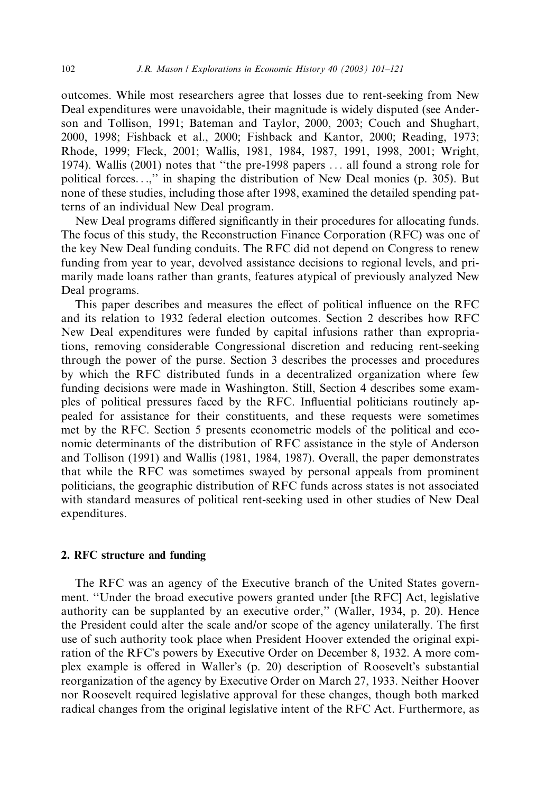outcomes. While most researchers agree that losses due to rent-seeking from New Deal expenditures were unavoidable, their magnitude is widely disputed (see Anderson and Tollison, 1991; Bateman and Taylor, 2000, 2003; Couch and Shughart, 2000, 1998; Fishback et al., 2000; Fishback and Kantor, 2000; Reading, 1973; Rhode, 1999; Fleck, 2001; Wallis, 1981, 1984, 1987, 1991, 1998, 2001; Wright, 1974). Wallis (2001) notes that ''the pre-1998 papers ... all found a strong role for political forces...,'' in shaping the distribution of New Deal monies (p. 305). But none of these studies, including those after 1998, examined the detailed spending patterns of an individual New Deal program.

New Deal programs differed significantly in their procedures for allocating funds. The focus of this study, the Reconstruction Finance Corporation (RFC) was one of the key New Deal funding conduits. The RFC did not depend on Congress to renew funding from year to year, devolved assistance decisions to regional levels, and primarily made loans rather than grants, features atypical of previously analyzed New Deal programs.

This paper describes and measures the effect of political influence on the RFC and its relation to 1932 federal election outcomes. Section 2 describes how RFC New Deal expenditures were funded by capital infusions rather than expropriations, removing considerable Congressional discretion and reducing rent-seeking through the power of the purse. Section 3 describes the processes and procedures by which the RFC distributed funds in a decentralized organization where few funding decisions were made in Washington. Still, Section 4 describes some examples of political pressures faced by the RFC. Influential politicians routinely appealed for assistance for their constituents, and these requests were sometimes met by the RFC. Section 5 presents econometric models of the political and economic determinants of the distribution of RFC assistance in the style of Anderson and Tollison (1991) and Wallis (1981, 1984, 1987). Overall, the paper demonstrates that while the RFC was sometimes swayed by personal appeals from prominent politicians, the geographic distribution of RFC funds across states is not associated with standard measures of political rent-seeking used in other studies of New Deal expenditures.

## 2. RFC structure and funding

The RFC was an agency of the Executive branch of the United States government. ''Under the broad executive powers granted under [the RFC] Act, legislative authority can be supplanted by an executive order,'' (Waller, 1934, p. 20). Hence the President could alter the scale and/or scope of the agency unilaterally. The first use of such authority took place when President Hoover extended the original expiration of the RFC's powers by Executive Order on December 8, 1932. A more complex example is offered in Waller's  $(p. 20)$  description of Roosevelt's substantial reorganization of the agency by Executive Order on March 27, 1933. Neither Hoover nor Roosevelt required legislative approval for these changes, though both marked radical changes from the original legislative intent of the RFC Act. Furthermore, as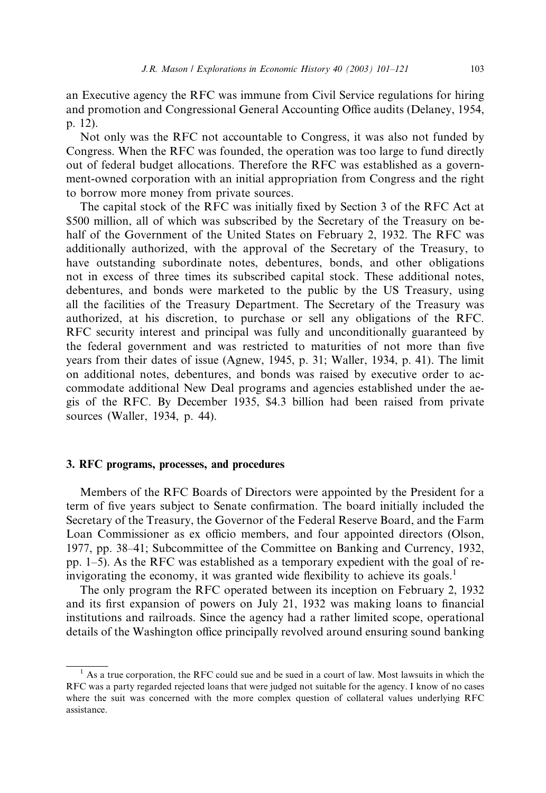an Executive agency the RFC was immune from Civil Service regulations for hiring and promotion and Congressional General Accounting Office audits (Delaney, 1954, p. 12).

Not only was the RFC not accountable to Congress, it was also not funded by Congress. When the RFC was founded, the operation was too large to fund directly out of federal budget allocations. Therefore the RFC was established as a government-owned corporation with an initial appropriation from Congress and the right to borrow more money from private sources.

The capital stock of the RFC was initially fixed by Section 3 of the RFC Act at \$500 million, all of which was subscribed by the Secretary of the Treasury on behalf of the Government of the United States on February 2, 1932. The RFC was additionally authorized, with the approval of the Secretary of the Treasury, to have outstanding subordinate notes, debentures, bonds, and other obligations not in excess of three times its subscribed capital stock. These additional notes, debentures, and bonds were marketed to the public by the US Treasury, using all the facilities of the Treasury Department. The Secretary of the Treasury was authorized, at his discretion, to purchase or sell any obligations of the RFC. RFC security interest and principal was fully and unconditionally guaranteed by the federal government and was restricted to maturities of not more than five years from their dates of issue (Agnew, 1945, p. 31; Waller, 1934, p. 41). The limit on additional notes, debentures, and bonds was raised by executive order to accommodate additional New Deal programs and agencies established under the aegis of the RFC. By December 1935, \$4.3 billion had been raised from private sources (Waller, 1934, p. 44).

## 3. RFC programs, processes, and procedures

Members of the RFC Boards of Directors were appointed by the President for a term of five years subject to Senate confirmation. The board initially included the Secretary of the Treasury, the Governor of the Federal Reserve Board, and the Farm Loan Commissioner as ex officio members, and four appointed directors (Olson, 1977, pp. 38–41; Subcommittee of the Committee on Banking and Currency, 1932, pp. 1–5). As the RFC was established as a temporary expedient with the goal of reinvigorating the economy, it was granted wide flexibility to achieve its goals.<sup>1</sup>

The only program the RFC operated between its inception on February 2, 1932 and its first expansion of powers on July 21, 1932 was making loans to financial institutions and railroads. Since the agency had a rather limited scope, operational details of the Washington office principally revolved around ensuring sound banking

 $<sup>1</sup>$  As a true corporation, the RFC could sue and be sued in a court of law. Most lawsuits in which the</sup> RFC was a party regarded rejected loans that were judged not suitable for the agency. I know of no cases where the suit was concerned with the more complex question of collateral values underlying RFC assistance.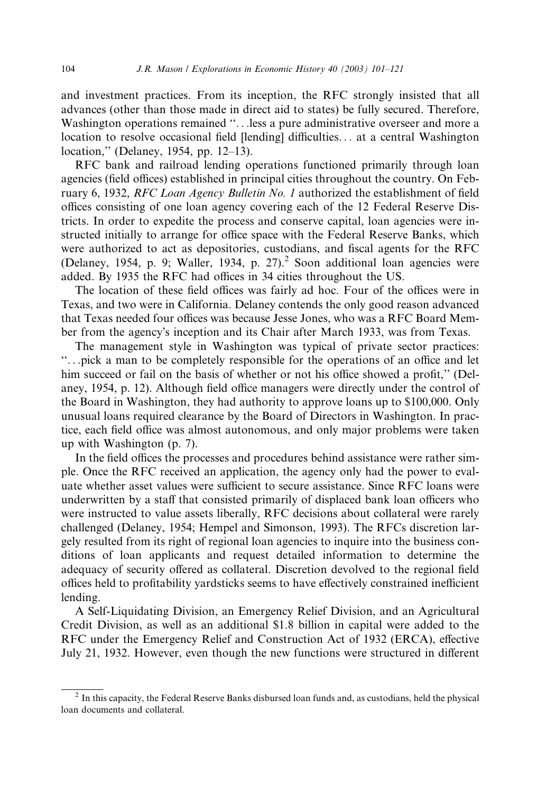and investment practices. From its inception, the RFC strongly insisted that all advances (other than those made in direct aid to states) be fully secured. Therefore, Washington operations remained ''...less a pure administrative overseer and more a location to resolve occasional field [lending] difficulties... at a central Washington location,'' (Delaney, 1954, pp. 12–13).

RFC bank and railroad lending operations functioned primarily through loan agencies (field offices) established in principal cities throughout the country. On February 6, 1932, RFC Loan Agency Bulletin No. 1 authorized the establishment of field offices consisting of one loan agency covering each of the 12 Federal Reserve Districts. In order to expedite the process and conserve capital, loan agencies were instructed initially to arrange for office space with the Federal Reserve Banks, which were authorized to act as depositories, custodians, and fiscal agents for the RFC (Delaney, 1954, p. 9; Waller, 1934, p. 27).<sup>2</sup> Soon additional loan agencies were added. By 1935 the RFC had offices in 34 cities throughout the US.

The location of these field offices was fairly ad hoc. Four of the offices were in Texas, and two were in California. Delaney contends the only good reason advanced that Texas needed four offices was because Jesse Jones, who was a RFC Board Member from the agencys inception and its Chair after March 1933, was from Texas.

The management style in Washington was typical of private sector practices: ''...pick a man to be completely responsible for the operations of an office and let him succeed or fail on the basis of whether or not his office showed a profit," (Delaney, 1954, p. 12). Although field office managers were directly under the control of the Board in Washington, they had authority to approve loans up to \$100,000. Only unusual loans required clearance by the Board of Directors in Washington. In practice, each field office was almost autonomous, and only major problems were taken up with Washington (p. 7).

In the field offices the processes and procedures behind assistance were rather simple. Once the RFC received an application, the agency only had the power to evaluate whether asset values were sufficient to secure assistance. Since RFC loans were underwritten by a staff that consisted primarily of displaced bank loan officers who were instructed to value assets liberally, RFC decisions about collateral were rarely challenged (Delaney, 1954; Hempel and Simonson, 1993). The RFCs discretion largely resulted from its right of regional loan agencies to inquire into the business conditions of loan applicants and request detailed information to determine the adequacy of security offered as collateral. Discretion devolved to the regional field offices held to profitability yardsticks seems to have effectively constrained inefficient lending.

ASelf-Liquidating Division, an Emergency Relief Division, and an Agricultural Credit Division, as well as an additional \$1.8 billion in capital were added to the RFC under the Emergency Relief and Construction Act of 1932 (ERCA), effective July 21, 1932. However, even though the new functions were structured in different

<sup>&</sup>lt;sup>2</sup> In this capacity, the Federal Reserve Banks disbursed loan funds and, as custodians, held the physical loan documents and collateral.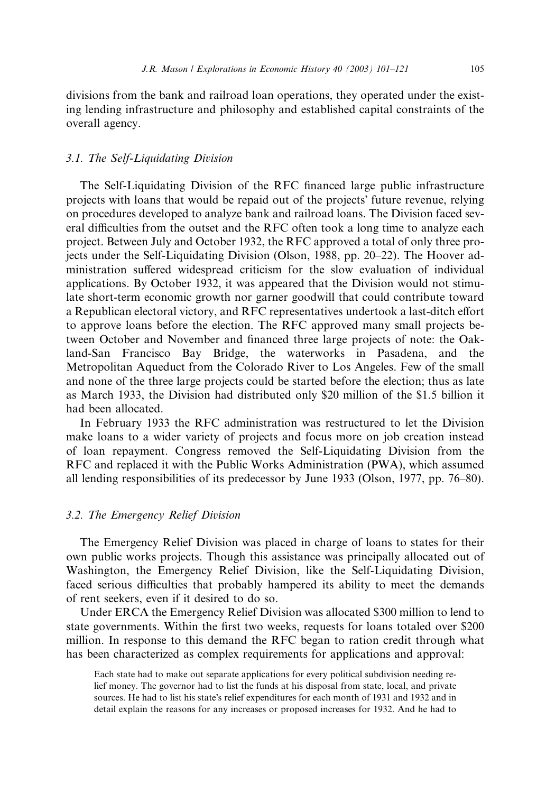divisions from the bank and railroad loan operations, they operated under the existing lending infrastructure and philosophy and established capital constraints of the overall agency.

#### 3.1. The Self-Liquidating Division

The Self-Liquidating Division of the RFC financed large public infrastructure projects with loans that would be repaid out of the projects future revenue, relying on procedures developed to analyze bank and railroad loans. The Division faced several difficulties from the outset and the RFC often took a long time to analyze each project. Between July and October 1932, the RFC approved a total of only three projects under the Self-Liquidating Division (Olson, 1988, pp. 20–22). The Hoover administration suffered widespread criticism for the slow evaluation of individual applications. By October 1932, it was appeared that the Division would not stimulate short-term economic growth nor garner goodwill that could contribute toward a Republican electoral victory, and RFC representatives undertook a last-ditch effort to approve loans before the election. The RFC approved many small projects between October and November and financed three large projects of note: the Oakland-San Francisco Bay Bridge, the waterworks in Pasadena, and the Metropolitan Aqueduct from the Colorado River to Los Angeles. Few of the small and none of the three large projects could be started before the election; thus as late as March 1933, the Division had distributed only \$20 million of the \$1.5 billion it had been allocated.

In February 1933 the RFC administration was restructured to let the Division make loans to a wider variety of projects and focus more on job creation instead of loan repayment. Congress removed the Self-Liquidating Division from the RFC and replaced it with the Public Works Administration (PWA), which assumed all lending responsibilities of its predecessor by June 1933 (Olson, 1977, pp. 76–80).

#### 3.2. The Emergency Relief Division

The Emergency Relief Division was placed in charge of loans to states for their own public works projects. Though this assistance was principally allocated out of Washington, the Emergency Relief Division, like the Self-Liquidating Division, faced serious difficulties that probably hampered its ability to meet the demands of rent seekers, even if it desired to do so.

Under ERCA the Emergency Relief Division was allocated \$300 million to lend to state governments. Within the first two weeks, requests for loans totaled over \$200 million. In response to this demand the RFC began to ration credit through what has been characterized as complex requirements for applications and approval:

Each state had to make out separate applications for every political subdivision needing relief money. The governor had to list the funds at his disposal from state, local, and private sources. He had to list his state's relief expenditures for each month of 1931 and 1932 and in detail explain the reasons for any increases or proposed increases for 1932. And he had to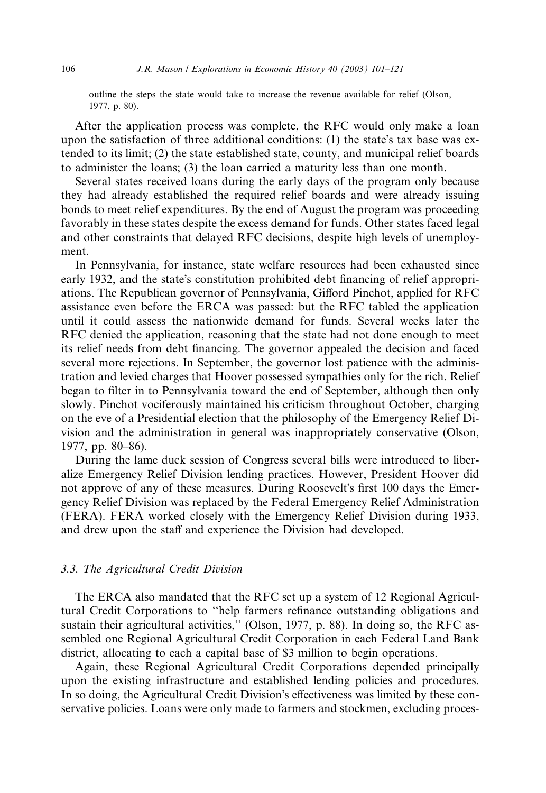outline the steps the state would take to increase the revenue available for relief (Olson, 1977, p. 80).

After the application process was complete, the RFC would only make a loan upon the satisfaction of three additional conditions:  $(1)$  the state's tax base was extended to its limit; (2) the state established state, county, and municipal relief boards to administer the loans; (3) the loan carried a maturity less than one month.

Several states received loans during the early days of the program only because they had already established the required relief boards and were already issuing bonds to meet relief expenditures. By the end of August the program was proceeding favorably in these states despite the excess demand for funds. Other states faced legal and other constraints that delayed RFC decisions, despite high levels of unemployment.

In Pennsylvania, for instance, state welfare resources had been exhausted since early 1932, and the state's constitution prohibited debt financing of relief appropriations. The Republican governor of Pennsylvania, Gifford Pinchot, applied for RFC assistance even before the ERCAwas passed: but the RFC tabled the application until it could assess the nationwide demand for funds. Several weeks later the RFC denied the application, reasoning that the state had not done enough to meet its relief needs from debt financing. The governor appealed the decision and faced several more rejections. In September, the governor lost patience with the administration and levied charges that Hoover possessed sympathies only for the rich. Relief began to filter in to Pennsylvania toward the end of September, although then only slowly. Pinchot vociferously maintained his criticism throughout October, charging on the eve of a Presidential election that the philosophy of the Emergency Relief Division and the administration in general was inappropriately conservative (Olson, 1977, pp. 80–86).

During the lame duck session of Congress several bills were introduced to liberalize Emergency Relief Division lending practices. However, President Hoover did not approve of any of these measures. During Roosevelt's first 100 days the Emergency Relief Division was replaced by the Federal Emergency Relief Administration (FERA). FERA worked closely with the Emergency Relief Division during 1933, and drew upon the staff and experience the Division had developed.

## 3.3. The Agricultural Credit Division

The ERCAalso mandated that the RFC set up a system of 12 Regional Agricultural Credit Corporations to ''help farmers refinance outstanding obligations and sustain their agricultural activities," (Olson, 1977, p. 88). In doing so, the RFC assembled one Regional Agricultural Credit Corporation in each Federal Land Bank district, allocating to each a capital base of \$3 million to begin operations.

Again, these Regional Agricultural Credit Corporations depended principally upon the existing infrastructure and established lending policies and procedures. In so doing, the Agricultural Credit Division's effectiveness was limited by these conservative policies. Loans were only made to farmers and stockmen, excluding proces-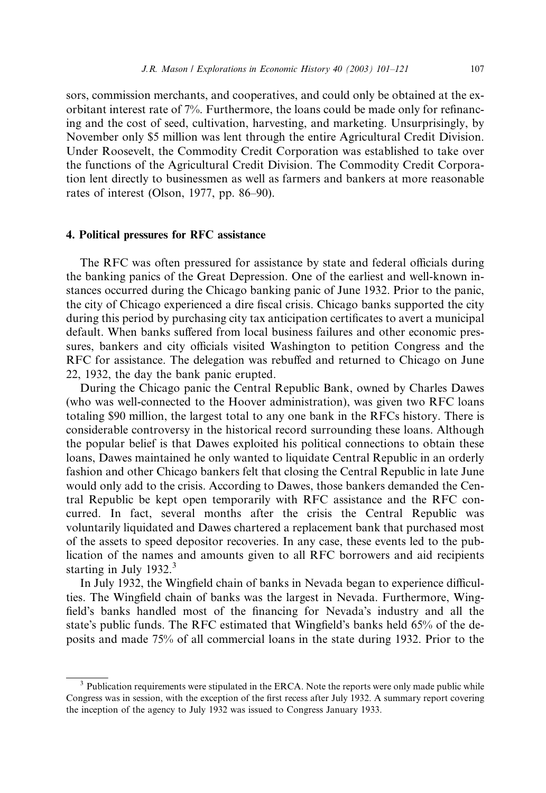sors, commission merchants, and cooperatives, and could only be obtained at the exorbitant interest rate of 7%. Furthermore, the loans could be made only for refinancing and the cost of seed, cultivation, harvesting, and marketing. Unsurprisingly, by November only \$5 million was lent through the entire Agricultural Credit Division. Under Roosevelt, the Commodity Credit Corporation was established to take over the functions of the Agricultural Credit Division. The Commodity Credit Corporation lent directly to businessmen as well as farmers and bankers at more reasonable rates of interest (Olson, 1977, pp. 86–90).

#### 4. Political pressures for RFC assistance

The RFC was often pressured for assistance by state and federal officials during the banking panics of the Great Depression. One of the earliest and well-known instances occurred during the Chicago banking panic of June 1932. Prior to the panic, the city of Chicago experienced a dire fiscal crisis. Chicago banks supported the city during this period by purchasing city tax anticipation certificates to avert a municipal default. When banks suffered from local business failures and other economic pressures, bankers and city officials visited Washington to petition Congress and the RFC for assistance. The delegation was rebuffed and returned to Chicago on June 22, 1932, the day the bank panic erupted.

During the Chicago panic the Central Republic Bank, owned by Charles Dawes (who was well-connected to the Hoover administration), was given two RFC loans totaling \$90 million, the largest total to any one bank in the RFCs history. There is considerable controversy in the historical record surrounding these loans. Although the popular belief is that Dawes exploited his political connections to obtain these loans, Dawes maintained he only wanted to liquidate Central Republic in an orderly fashion and other Chicago bankers felt that closing the Central Republic in late June would only add to the crisis. According to Dawes, those bankers demanded the Central Republic be kept open temporarily with RFC assistance and the RFC concurred. In fact, several months after the crisis the Central Republic was voluntarily liquidated and Dawes chartered a replacement bank that purchased most of the assets to speed depositor recoveries. In any case, these events led to the publication of the names and amounts given to all RFC borrowers and aid recipients starting in July  $1932.<sup>3</sup>$ 

In July 1932, the Wingfield chain of banks in Nevada began to experience difficulties. The Wingfield chain of banks was the largest in Nevada. Furthermore, Wingfield's banks handled most of the financing for Nevada's industry and all the state's public funds. The RFC estimated that Wingfield's banks held  $65\%$  of the deposits and made 75% of all commercial loans in the state during 1932. Prior to the

<sup>&</sup>lt;sup>3</sup> Publication requirements were stipulated in the ERCA. Note the reports were only made public while Congress was in session, with the exception of the first recess after July 1932. A summary report covering the inception of the agency to July 1932 was issued to Congress January 1933.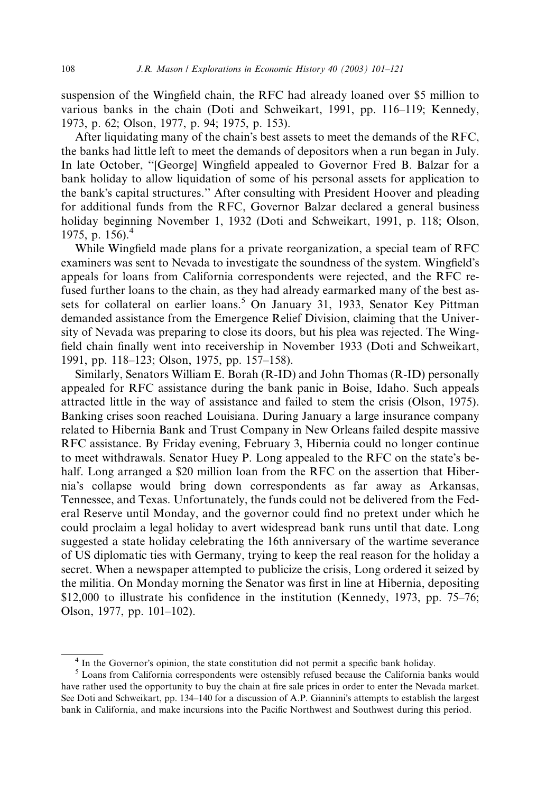suspension of the Wingfield chain, the RFC had already loaned over \$5 million to various banks in the chain (Doti and Schweikart, 1991, pp. 116–119; Kennedy, 1973, p. 62; Olson, 1977, p. 94; 1975, p. 153).

After liquidating many of the chain's best assets to meet the demands of the RFC. the banks had little left to meet the demands of depositors when a run began in July. In late October, ''[George] Wingfield appealed to Governor Fred B. Balzar for a bank holiday to allow liquidation of some of his personal assets for application to the bank's capital structures." After consulting with President Hoover and pleading for additional funds from the RFC, Governor Balzar declared a general business holiday beginning November 1, 1932 (Doti and Schweikart, 1991, p. 118; Olson, 1975, p. 156).<sup>4</sup>

While Wingfield made plans for a private reorganization, a special team of RFC examiners was sent to Nevada to investigate the soundness of the system. Wingfield's appeals for loans from California correspondents were rejected, and the RFC refused further loans to the chain, as they had already earmarked many of the best assets for collateral on earlier loans.<sup>5</sup> On January 31, 1933, Senator Key Pittman demanded assistance from the Emergence Relief Division, claiming that the University of Nevada was preparing to close its doors, but his plea was rejected. The Wingfield chain finally went into receivership in November 1933 (Doti and Schweikart, 1991, pp. 118–123; Olson, 1975, pp. 157–158).

Similarly, Senators William E. Borah (R-ID) and John Thomas (R-ID) personally appealed for RFC assistance during the bank panic in Boise, Idaho. Such appeals attracted little in the way of assistance and failed to stem the crisis (Olson, 1975). Banking crises soon reached Louisiana. During January a large insurance company related to Hibernia Bank and Trust Company in New Orleans failed despite massive RFC assistance. By Friday evening, February 3, Hibernia could no longer continue to meet withdrawals. Senator Huey P. Long appealed to the RFC on the state's behalf. Long arranged a \$20 million loan from the RFC on the assertion that Hibernia's collapse would bring down correspondents as far away as Arkansas, Tennessee, and Texas. Unfortunately, the funds could not be delivered from the Federal Reserve until Monday, and the governor could find no pretext under which he could proclaim a legal holiday to avert widespread bank runs until that date. Long suggested a state holiday celebrating the 16th anniversary of the wartime severance of US diplomatic ties with Germany, trying to keep the real reason for the holiday a secret. When a newspaper attempted to publicize the crisis, Long ordered it seized by the militia. On Monday morning the Senator was first in line at Hibernia, depositing \$12,000 to illustrate his confidence in the institution (Kennedy, 1973, pp. 75–76; Olson, 1977, pp. 101–102).

 $4$  In the Governor's opinion, the state constitution did not permit a specific bank holiday.<br> $5$  Loans from California correspondents were ostensibly refused because the California banks would have rather used the opportunity to buy the chain at fire sale prices in order to enter the Nevada market. See Doti and Schweikart, pp. 134–140 for a discussion of A.P. Gianninis attempts to establish the largest bank in California, and make incursions into the Pacific Northwest and Southwest during this period.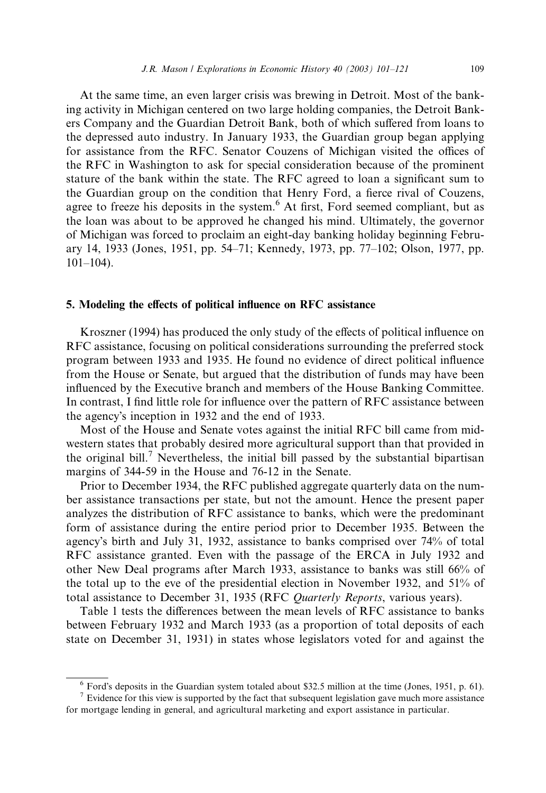At the same time, an even larger crisis was brewing in Detroit. Most of the banking activity in Michigan centered on two large holding companies, the Detroit Bankers Company and the Guardian Detroit Bank, both of which suffered from loans to the depressed auto industry. In January 1933, the Guardian group began applying for assistance from the RFC. Senator Couzens of Michigan visited the offices of the RFC in Washington to ask for special consideration because of the prominent stature of the bank within the state. The RFC agreed to loan a significant sum to the Guardian group on the condition that Henry Ford, a fierce rival of Couzens, agree to freeze his deposits in the system. $6$  At first, Ford seemed compliant, but as the loan was about to be approved he changed his mind. Ultimately, the governor of Michigan was forced to proclaim an eight-day banking holiday beginning February 14, 1933 (Jones, 1951, pp. 54–71; Kennedy, 1973, pp. 77–102; Olson, 1977, pp. 101–104).

## 5. Modeling the effects of political influence on RFC assistance

Kroszner (1994) has produced the only study of the effects of political influence on RFC assistance, focusing on political considerations surrounding the preferred stock program between 1933 and 1935. He found no evidence of direct political influence from the House or Senate, but argued that the distribution of funds may have been influenced by the Executive branch and members of the House Banking Committee. In contrast, I find little role for influence over the pattern of RFC assistance between the agencys inception in 1932 and the end of 1933.

Most of the House and Senate votes against the initial RFC bill came from midwestern states that probably desired more agricultural support than that provided in the original bill.<sup>7</sup> Nevertheless, the initial bill passed by the substantial bipartisan margins of 344-59 in the House and 76-12 in the Senate.

Prior to December 1934, the RFC published aggregate quarterly data on the number assistance transactions per state, but not the amount. Hence the present paper analyzes the distribution of RFC assistance to banks, which were the predominant form of assistance during the entire period prior to December 1935. Between the agencys birth and July 31, 1932, assistance to banks comprised over 74% of total RFC assistance granted. Even with the passage of the ERCA in July 1932 and other New Deal programs after March 1933, assistance to banks was still 66% of the total up to the eve of the presidential election in November 1932, and 51% of total assistance to December 31, 1935 (RFC Quarterly Reports, various years).

Table 1 tests the differences between the mean levels of RFC assistance to banks between February 1932 and March 1933 (as a proportion of total deposits of each state on December 31, 1931) in states whose legislators voted for and against the

<sup>&</sup>lt;sup>6</sup> Ford's deposits in the Guardian system totaled about \$32.5 million at the time (Jones, 1951, p. 61). <sup>7</sup> Evidence for this view is supported by the fact that subsequent legislation gave much more assistance

for mortgage lending in general, and agricultural marketing and export assistance in particular.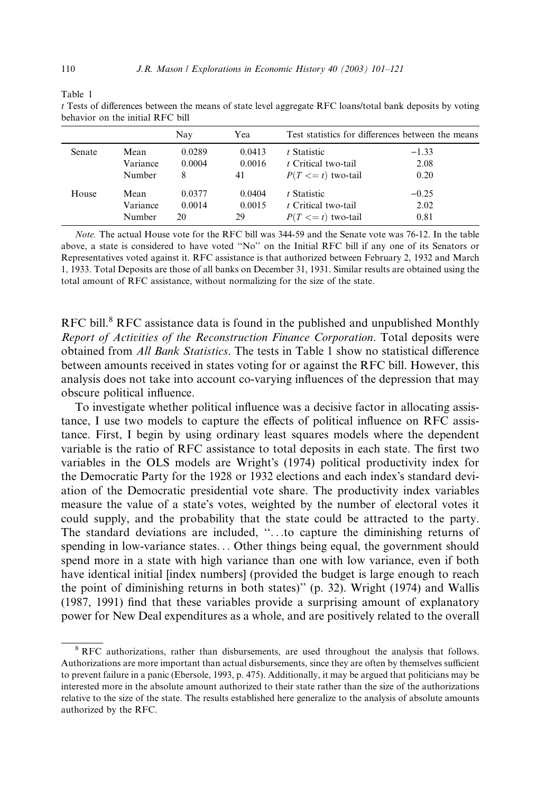|        |          | Nay    | Yea    | Test statistics for differences between the means |         |
|--------|----------|--------|--------|---------------------------------------------------|---------|
| Senate | Mean     | 0.0289 | 0.0413 | t Statistic                                       | $-1.33$ |
|        | Variance | 0.0004 | 0.0016 | t Critical two-tail                               | 2.08    |
|        | Number   | 8      | 41     | $P(T \le t)$ two-tail                             | 0.20    |
| House  | Mean     | 0.0377 | 0.0404 | t Statistic                                       | $-0.25$ |
|        | Variance | 0.0014 | 0.0015 | t Critical two-tail                               | 2.02    |
|        | Number   | 20     | 29     | $P(T \leq t)$ two-tail                            | 0.81    |

t Tests of differences between the means of state level aggregate RFC loans/total bank deposits by voting behavior on the initial RFC bill

Note. The actual House vote for the RFC bill was 344-59 and the Senate vote was 76-12. In the table above, a state is considered to have voted ''No'' on the Initial RFC bill if any one of its Senators or Representatives voted against it. RFC assistance is that authorized between February 2, 1932 and March 1, 1933. Total Deposits are those of all banks on December 31, 1931. Similar results are obtained using the total amount of RFC assistance, without normalizing for the size of the state.

RFC bill.<sup>8</sup> RFC assistance data is found in the published and unpublished Monthly Report of Activities of the Reconstruction Finance Corporation. Total deposits were obtained from All Bank Statistics. The tests in Table 1 show no statistical difference between amounts received in states voting for or against the RFC bill. However, this analysis does not take into account co-varying influences of the depression that may obscure political influence.

To investigate whether political influence was a decisive factor in allocating assistance, I use two models to capture the effects of political influence on RFC assistance. First, I begin by using ordinary least squares models where the dependent variable is the ratio of RFC assistance to total deposits in each state. The first two variables in the OLS models are Wright's (1974) political productivity index for the Democratic Party for the 1928 or 1932 elections and each index's standard deviation of the Democratic presidential vote share. The productivity index variables measure the value of a state's votes, weighted by the number of electoral votes it could supply, and the probability that the state could be attracted to the party. The standard deviations are included, ''...to capture the diminishing returns of spending in low-variance states... Other things being equal, the government should spend more in a state with high variance than one with low variance, even if both have identical initial [index numbers] (provided the budget is large enough to reach the point of diminishing returns in both states)'' (p. 32). Wright (1974) and Wallis (1987, 1991) find that these variables provide a surprising amount of explanatory power for New Deal expenditures as a whole, and are positively related to the overall

Table 1

<sup>&</sup>lt;sup>8</sup> RFC authorizations, rather than disbursements, are used throughout the analysis that follows. Authorizations are more important than actual disbursements, since they are often by themselves sufficient to prevent failure in a panic (Ebersole, 1993, p. 475). Additionally, it may be argued that politicians may be interested more in the absolute amount authorized to their state rather than the size of the authorizations relative to the size of the state. The results established here generalize to the analysis of absolute amounts authorized by the RFC.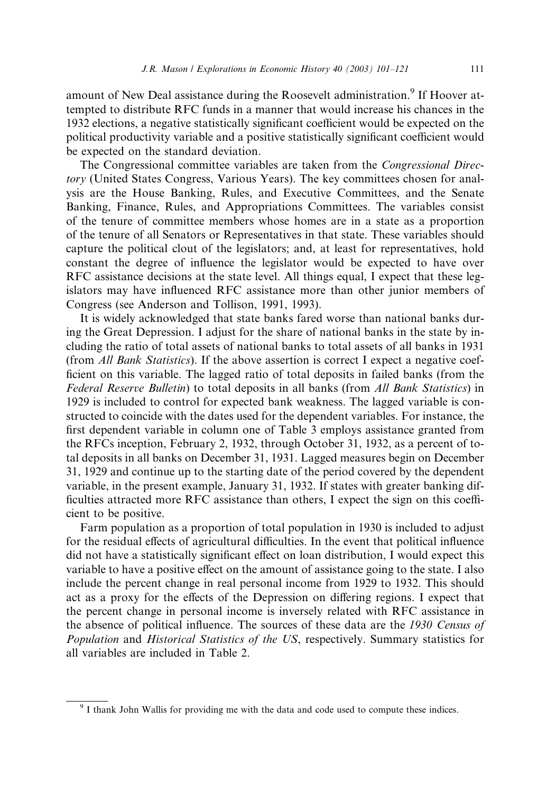amount of New Deal assistance during the Roosevelt administration.<sup>9</sup> If Hoover attempted to distribute RFC funds in a manner that would increase his chances in the 1932 elections, a negative statistically significant coefficient would be expected on the political productivity variable and a positive statistically significant coefficient would be expected on the standard deviation.

The Congressional committee variables are taken from the Congressional Directory (United States Congress, Various Years). The key committees chosen for analysis are the House Banking, Rules, and Executive Committees, and the Senate Banking, Finance, Rules, and Appropriations Committees. The variables consist of the tenure of committee members whose homes are in a state as a proportion of the tenure of all Senators or Representatives in that state. These variables should capture the political clout of the legislators; and, at least for representatives, hold constant the degree of influence the legislator would be expected to have over RFC assistance decisions at the state level. All things equal, I expect that these legislators may have influenced RFC assistance more than other junior members of Congress (see Anderson and Tollison, 1991, 1993).

It is widely acknowledged that state banks fared worse than national banks during the Great Depression. I adjust for the share of national banks in the state by including the ratio of total assets of national banks to total assets of all banks in 1931 (from All Bank Statistics). If the above assertion is correct I expect a negative coefficient on this variable. The lagged ratio of total deposits in failed banks (from the Federal Reserve Bulletin) to total deposits in all banks (from All Bank Statistics) in 1929 is included to control for expected bank weakness. The lagged variable is constructed to coincide with the dates used for the dependent variables. For instance, the first dependent variable in column one of Table 3 employs assistance granted from the RFCs inception, February 2, 1932, through October 31, 1932, as a percent of total deposits in all banks on December 31, 1931. Lagged measures begin on December 31, 1929 and continue up to the starting date of the period covered by the dependent variable, in the present example, January 31, 1932. If states with greater banking difficulties attracted more RFC assistance than others, I expect the sign on this coefficient to be positive.

Farm population as a proportion of total population in 1930 is included to adjust for the residual effects of agricultural difficulties. In the event that political influence did not have a statistically significant effect on loan distribution, I would expect this variable to have a positive effect on the amount of assistance going to the state. I also include the percent change in real personal income from 1929 to 1932. This should act as a proxy for the effects of the Depression on differing regions. I expect that the percent change in personal income is inversely related with RFC assistance in the absence of political influence. The sources of these data are the 1930 Census of Population and Historical Statistics of the US, respectively. Summary statistics for all variables are included in Table 2.

<sup>&</sup>lt;sup>9</sup> I thank John Wallis for providing me with the data and code used to compute these indices.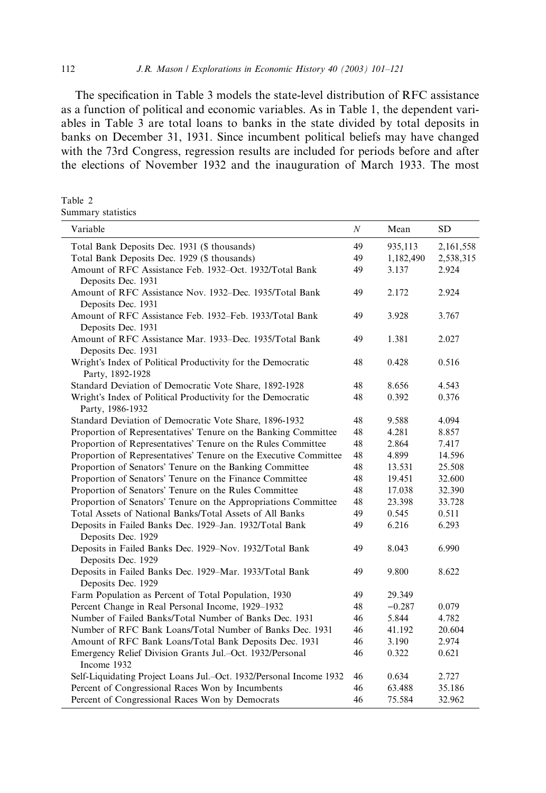The specification in Table 3 models the state-level distribution of RFC assistance as a function of political and economic variables. As in Table 1, the dependent variables in Table 3 are total loans to banks in the state divided by total deposits in banks on December 31, 1931. Since incumbent political beliefs may have changed with the 73rd Congress, regression results are included for periods before and after the elections of November 1932 and the inauguration of March 1933. The most

Table 2 Summary statistics

 $\overline{a}$ 

| Variable                                                           | $\cal N$ | Mean      | SD        |
|--------------------------------------------------------------------|----------|-----------|-----------|
| Total Bank Deposits Dec. 1931 (\$ thousands)                       | 49       | 935,113   | 2,161,558 |
| Total Bank Deposits Dec. 1929 (\$ thousands)                       | 49       | 1,182,490 | 2,538,315 |
| Amount of RFC Assistance Feb. 1932-Oct. 1932/Total Bank            | 49       | 3.137     | 2.924     |
| Deposits Dec. 1931                                                 |          |           |           |
| Amount of RFC Assistance Nov. 1932–Dec. 1935/Total Bank            | 49       | 2.172     | 2.924     |
| Deposits Dec. 1931                                                 |          |           |           |
| Amount of RFC Assistance Feb. 1932–Feb. 1933/Total Bank            | 49       | 3.928     | 3.767     |
| Deposits Dec. 1931                                                 |          |           |           |
| Amount of RFC Assistance Mar. 1933-Dec. 1935/Total Bank            | 49       | 1.381     | 2.027     |
| Deposits Dec. 1931                                                 |          |           |           |
| Wright's Index of Political Productivity for the Democratic        | 48       | 0.428     | 0.516     |
| Party, 1892-1928                                                   |          |           |           |
| Standard Deviation of Democratic Vote Share, 1892-1928             | 48       | 8.656     | 4.543     |
| Wright's Index of Political Productivity for the Democratic        | 48       | 0.392     | 0.376     |
| Party, 1986-1932                                                   |          |           |           |
| Standard Deviation of Democratic Vote Share, 1896-1932             | 48       | 9.588     | 4.094     |
| Proportion of Representatives' Tenure on the Banking Committee     | 48       | 4.281     | 8.857     |
| Proportion of Representatives' Tenure on the Rules Committee       | 48       | 2.864     | 7.417     |
| Proportion of Representatives' Tenure on the Executive Committee   | 48       | 4.899     | 14.596    |
| Proportion of Senators' Tenure on the Banking Committee            | 48       | 13.531    | 25.508    |
| Proportion of Senators' Tenure on the Finance Committee            | 48       | 19.451    | 32.600    |
| Proportion of Senators' Tenure on the Rules Committee              | 48       | 17.038    | 32.390    |
| Proportion of Senators' Tenure on the Appropriations Committee     | 48       | 23.398    | 33.728    |
| Total Assets of National Banks/Total Assets of All Banks           | 49       | 0.545     | 0.511     |
| Deposits in Failed Banks Dec. 1929-Jan. 1932/Total Bank            | 49       | 6.216     | 6.293     |
| Deposits Dec. 1929                                                 |          |           |           |
| Deposits in Failed Banks Dec. 1929-Nov. 1932/Total Bank            | 49       | 8.043     | 6.990     |
| Deposits Dec. 1929                                                 |          |           |           |
| Deposits in Failed Banks Dec. 1929-Mar. 1933/Total Bank            | 49       | 9.800     | 8.622     |
| Deposits Dec. 1929                                                 |          |           |           |
| Farm Population as Percent of Total Population, 1930               | 49       | 29.349    |           |
| Percent Change in Real Personal Income, 1929-1932                  | 48       | $-0.287$  | 0.079     |
| Number of Failed Banks/Total Number of Banks Dec. 1931             | 46       | 5.844     | 4.782     |
| Number of RFC Bank Loans/Total Number of Banks Dec. 1931           | 46       | 41.192    | 20.604    |
| Amount of RFC Bank Loans/Total Bank Deposits Dec. 1931             | 46       | 3.190     | 2.974     |
| Emergency Relief Division Grants Jul.-Oct. 1932/Personal           | 46       | 0.322     | 0.621     |
| Income 1932                                                        |          |           |           |
| Self-Liquidating Project Loans Jul.-Oct. 1932/Personal Income 1932 | 46       | 0.634     | 2.727     |
| Percent of Congressional Races Won by Incumbents                   | 46       | 63.488    | 35.186    |
| Percent of Congressional Races Won by Democrats                    | 46       | 75.584    | 32.962    |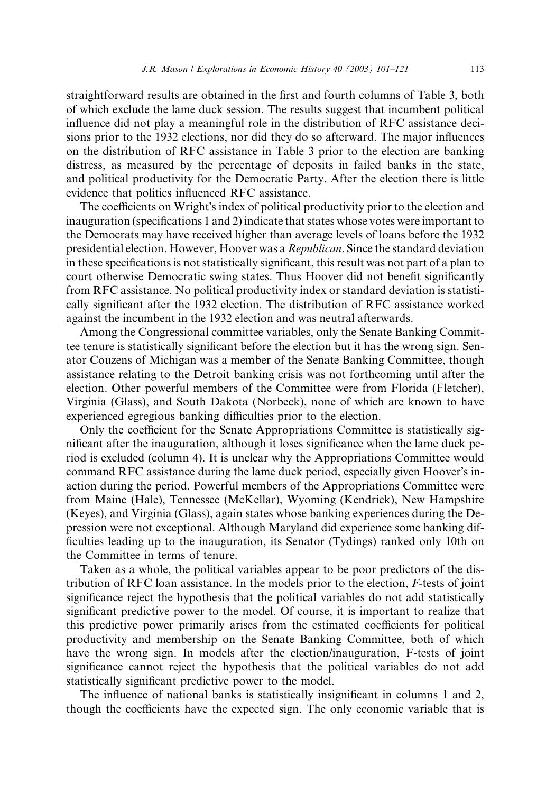straightforward results are obtained in the first and fourth columns of Table 3, both of which exclude the lame duck session. The results suggest that incumbent political influence did not play a meaningful role in the distribution of RFC assistance decisions prior to the 1932 elections, nor did they do so afterward. The major influences on the distribution of RFC assistance in Table 3 prior to the election are banking distress, as measured by the percentage of deposits in failed banks in the state, and political productivity for the Democratic Party. After the election there is little evidence that politics influenced RFC assistance.

The coefficients on Wright's index of political productivity prior to the election and inauguration (specifications 1 and 2) indicate that states whose votes were important to the Democrats may have received higher than average levels of loans before the 1932 presidential election. However, Hoover was a Republican. Since the standard deviation in these specifications is not statistically significant, this result was not part of a plan to court otherwise Democratic swing states. Thus Hoover did not benefit significantly from RFC assistance. No political productivity index or standard deviation is statistically significant after the 1932 election. The distribution of RFC assistance worked against the incumbent in the 1932 election and was neutral afterwards.

Among the Congressional committee variables, only the Senate Banking Committee tenure is statistically significant before the election but it has the wrong sign. Senator Couzens of Michigan was a member of the Senate Banking Committee, though assistance relating to the Detroit banking crisis was not forthcoming until after the election. Other powerful members of the Committee were from Florida (Fletcher), Virginia (Glass), and South Dakota (Norbeck), none of which are known to have experienced egregious banking difficulties prior to the election.

Only the coefficient for the Senate Appropriations Committee is statistically significant after the inauguration, although it loses significance when the lame duck period is excluded (column 4). It is unclear why the Appropriations Committee would command RFC assistance during the lame duck period, especially given Hoover's inaction during the period. Powerful members of the Appropriations Committee were from Maine (Hale), Tennessee (McKellar), Wyoming (Kendrick), New Hampshire (Keyes), and Virginia (Glass), again states whose banking experiences during the Depression were not exceptional. Although Maryland did experience some banking difficulties leading up to the inauguration, its Senator (Tydings) ranked only 10th on the Committee in terms of tenure.

Taken as a whole, the political variables appear to be poor predictors of the distribution of RFC loan assistance. In the models prior to the election, F-tests of joint significance reject the hypothesis that the political variables do not add statistically significant predictive power to the model. Of course, it is important to realize that this predictive power primarily arises from the estimated coefficients for political productivity and membership on the Senate Banking Committee, both of which have the wrong sign. In models after the election/inauguration, F-tests of joint significance cannot reject the hypothesis that the political variables do not add statistically significant predictive power to the model.

The influence of national banks is statistically insignificant in columns 1 and 2, though the coefficients have the expected sign. The only economic variable that is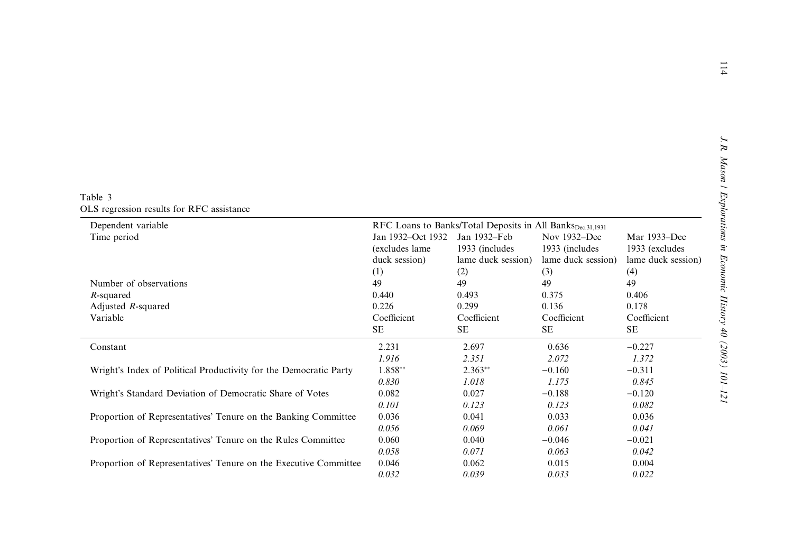Table 3OLS regression results for RFC assistance

| RFC Loans to Banks/Total Deposits in All Banks <sub>Dec.31.1931</sub><br>Dependent variable |                   |                    |                    |                    |  |  |
|---------------------------------------------------------------------------------------------|-------------------|--------------------|--------------------|--------------------|--|--|
| Time period                                                                                 | Jan 1932-Oct 1932 | Jan 1932–Feb       | Nov $1932 - Dec$   | Mar 1933–Dec       |  |  |
|                                                                                             | (excludes lame    | 1933 (includes     | 1933 (includes)    | 1933 (excludes     |  |  |
|                                                                                             | duck session)     | lame duck session) | lame duck session) | lame duck session) |  |  |
|                                                                                             | (1)               | (2)                | (3)                | (4)                |  |  |
| Number of observations                                                                      | 49                | 49                 | 49                 | 49                 |  |  |
| R-squared                                                                                   | 0.440             | 0.493              | 0.375              | 0.406              |  |  |
| Adjusted R-squared                                                                          | 0.226             | 0.299              | 0.136              | 0.178              |  |  |
| Variable                                                                                    | Coefficient       | Coefficient        | Coefficient        | Coefficient        |  |  |
|                                                                                             | <b>SE</b>         | <b>SE</b>          | <b>SE</b>          | <b>SE</b>          |  |  |
| Constant                                                                                    | 2.231             | 2.697              | 0.636              | $-0.227$           |  |  |
|                                                                                             | 1.916             | 2.351              | 2.072              | 1.372              |  |  |
| Wright's Index of Political Productivity for the Democratic Party                           | 1.858**           | $2.363**$          | $-0.160$           | $-0.311$           |  |  |
|                                                                                             | 0.830             | 1.018              | 1.175              | 0.845              |  |  |
| Wright's Standard Deviation of Democratic Share of Votes                                    | 0.082             | 0.027              | $-0.188$           | $-0.120$           |  |  |
|                                                                                             | 0.101             | 0.123              | 0.123              | 0.082              |  |  |
| Proportion of Representatives' Tenure on the Banking Committee                              | 0.036             | 0.041              | 0.033              | 0.036              |  |  |
|                                                                                             | 0.056             | 0.069              | 0.061              | 0.041              |  |  |
| Proportion of Representatives' Tenure on the Rules Committee                                | 0.060             | 0.040              | $-0.046$           | $-0.021$           |  |  |
|                                                                                             | 0.058             | 0.071              | 0.063              | 0.042              |  |  |
| Proportion of Representatives' Tenure on the Executive Committee                            | 0.046             | 0.062              | 0.015              | 0.004              |  |  |
|                                                                                             | 0.032             | 0.039              | 0.033              | 0.022              |  |  |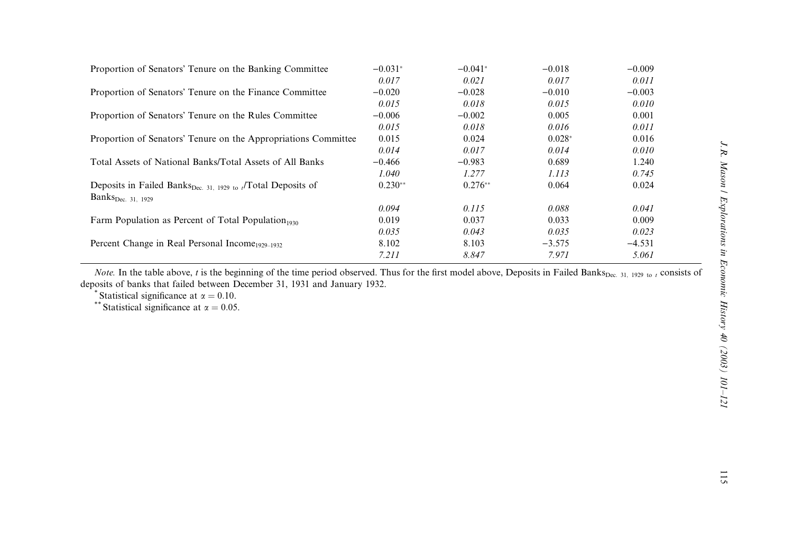| Proportion of Senators' Tenure on the Banking Committee                   | $-0.031*$ | $-0.041*$ | $-0.018$ | $-0.009$ |
|---------------------------------------------------------------------------|-----------|-----------|----------|----------|
|                                                                           | 0.017     | 0.021     | 0.017    | 0.011    |
| Proportion of Senators' Tenure on the Finance Committee                   | $-0.020$  | $-0.028$  | $-0.010$ | $-0.003$ |
|                                                                           | 0.015     | 0.018     | 0.015    | 0.010    |
| Proportion of Senators' Tenure on the Rules Committee                     | $-0.006$  | $-0.002$  | 0.005    | 0.001    |
|                                                                           | 0.015     | 0.018     | 0.016    | 0.011    |
| Proportion of Senators' Tenure on the Appropriations Committee            | 0.015     | 0.024     | $0.028*$ | 0.016    |
|                                                                           | 0.014     | 0.017     | 0.014    | 0.010    |
| Total Assets of National Banks/Total Assets of All Banks                  | $-0.466$  | $-0.983$  | 0.689    | 1.240    |
|                                                                           | 1.040     | 1.277     | 1.113    | 0.745    |
| Deposits in Failed Banks <sub>Dec. 31, 1929 to t</sub> /Total Deposits of | $0.230**$ | $0.276**$ | 0.064    | 0.024    |
| <b>Banks</b> Dec. $31, 1929$                                              |           |           |          |          |
|                                                                           | 0.094     | 0.115     | 0.088    | 0.041    |
| Farm Population as Percent of Total Population.                           | 0.019     | 0.037     | 0.033    | 0.009    |
|                                                                           | 0.035     | 0.043     | 0.035    | 0.023    |
| Percent Change in Real Personal Income <sub>1929-1932</sub>               | 8.102     | 8.103     | $-3.575$ | $-4.531$ |
|                                                                           | 7.211     | 8.847     | 7.971    | 5.061    |

*Note.* In the table above, t is the beginning of the time period observed. Thus for the first model above, Deposits in Failed Banks<sub>Dec. 31, 1929 to t</sub> consists of deposits of banks that failed between December 31, 1931 and January 1932.

\* Statistical significance at  $\alpha = 0.10$ .

\*\* Statistical significance at  $\alpha = 0.05$ .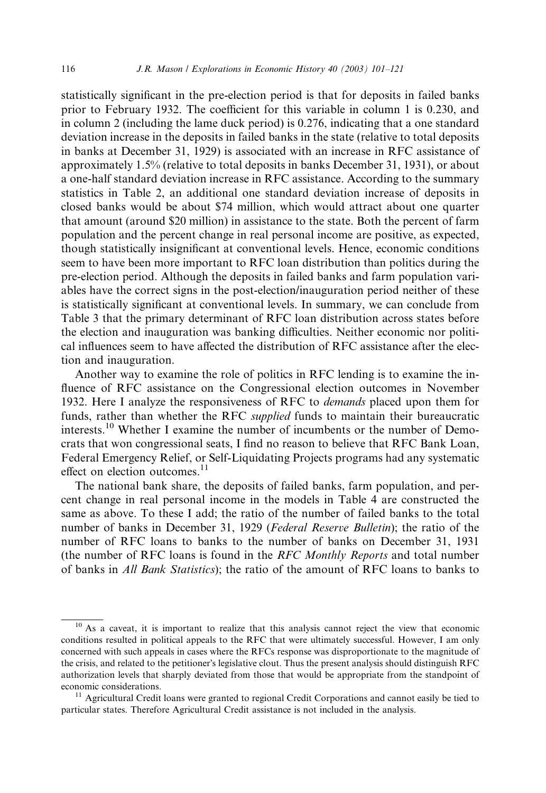statistically significant in the pre-election period is that for deposits in failed banks prior to February 1932. The coefficient for this variable in column 1 is 0.230, and in column 2 (including the lame duck period) is 0.276, indicating that a one standard deviation increase in the deposits in failed banks in the state (relative to total deposits in banks at December 31, 1929) is associated with an increase in RFC assistance of approximately 1.5% (relative to total deposits in banks December 31, 1931), or about a one-half standard deviation increase in RFC assistance. According to the summary statistics in Table 2, an additional one standard deviation increase of deposits in closed banks would be about \$74 million, which would attract about one quarter that amount (around \$20 million) in assistance to the state. Both the percent of farm population and the percent change in real personal income are positive, as expected, though statistically insignificant at conventional levels. Hence, economic conditions seem to have been more important to RFC loan distribution than politics during the pre-election period. Although the deposits in failed banks and farm population variables have the correct signs in the post-election/inauguration period neither of these is statistically significant at conventional levels. In summary, we can conclude from Table 3 that the primary determinant of RFC loan distribution across states before the election and inauguration was banking difficulties. Neither economic nor political influences seem to have affected the distribution of RFC assistance after the election and inauguration.

Another way to examine the role of politics in RFC lending is to examine the influence of RFC assistance on the Congressional election outcomes in November 1932. Here I analyze the responsiveness of RFC to *demands* placed upon them for funds, rather than whether the RFC supplied funds to maintain their bureaucratic interests.<sup>10</sup> Whether I examine the number of incumbents or the number of Democrats that won congressional seats, I find no reason to believe that RFC Bank Loan, Federal Emergency Relief, or Self-Liquidating Projects programs had any systematic effect on election outcomes. $^{11}$ 

The national bank share, the deposits of failed banks, farm population, and percent change in real personal income in the models in Table 4 are constructed the same as above. To these I add; the ratio of the number of failed banks to the total number of banks in December 31, 1929 (Federal Reserve Bulletin); the ratio of the number of RFC loans to banks to the number of banks on December 31, 1931 (the number of RFC loans is found in the RFC Monthly Reports and total number of banks in All Bank Statistics); the ratio of the amount of RFC loans to banks to

<sup>&</sup>lt;sup>10</sup> As a caveat, it is important to realize that this analysis cannot reject the view that economic conditions resulted in political appeals to the RFC that were ultimately successful. However, I am only concerned with such appeals in cases where the RFCs response was disproportionate to the magnitude of the crisis, and related to the petitioner's legislative clout. Thus the present analysis should distinguish RFC authorization levels that sharply deviated from those that would be appropriate from the standpoint of economic considerations. <sup>11</sup> Agricultural Credit loans were granted to regional Credit Corporations and cannot easily be tied to

particular states. Therefore Agricultural Credit assistance is not included in the analysis.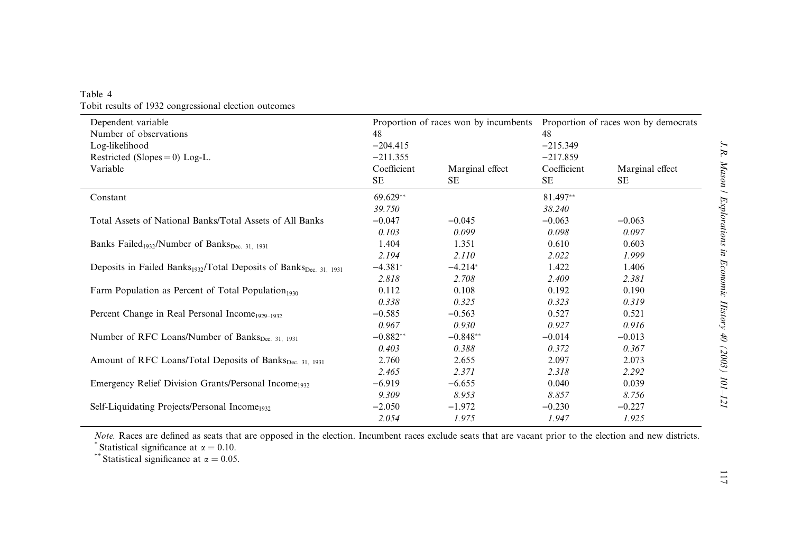| Dependent variable                                                                         |             | Proportion of races won by incumbents |             | Proportion of races won by democrats |  |
|--------------------------------------------------------------------------------------------|-------------|---------------------------------------|-------------|--------------------------------------|--|
| Number of observations                                                                     | 48          |                                       |             | 48                                   |  |
| Log-likelihood                                                                             | $-204.415$  |                                       |             |                                      |  |
| Restricted (Slopes = 0) $Log-L$ .                                                          | $-211.355$  |                                       | $-217.859$  |                                      |  |
| Variable                                                                                   | Coefficient | Marginal effect                       | Coefficient | Marginal effect                      |  |
|                                                                                            | <b>SE</b>   | <b>SE</b>                             | <b>SE</b>   | <b>SE</b>                            |  |
| Constant                                                                                   | $69.629**$  |                                       | 81.497**    |                                      |  |
|                                                                                            | 39.750      |                                       | 38.240      |                                      |  |
| Total Assets of National Banks/Total Assets of All Banks                                   | $-0.047$    | $-0.045$                              | $-0.063$    | $-0.063$                             |  |
|                                                                                            | 0.103       | 0.099                                 | 0.098       | 0.097                                |  |
| Banks Failed <sub>1932</sub> /Number of Banks <sub>Dec. 31, 1931</sub>                     | 1.404       | 1.351                                 | 0.610       | 0.603                                |  |
|                                                                                            | 2.194       | 2.110                                 | 2.022       | 1.999                                |  |
| Deposits in Failed Banks <sub>1932</sub> /Total Deposits of Banks <sub>Dec. 31, 1931</sub> | $-4.381*$   | $-4.214*$                             | 1.422       | 1.406                                |  |
|                                                                                            | 2.818       | 2.708                                 | 2.409       | 2.381                                |  |
| Farm Population as Percent of Total Population <sub>1930</sub>                             | 0.112       | 0.108                                 | 0.192       | 0.190                                |  |
|                                                                                            | 0.338       | 0.325                                 | 0.323       | 0.319                                |  |
| Percent Change in Real Personal Income <sub>1929-1932</sub>                                | $-0.585$    | $-0.563$                              | 0.527       | 0.521                                |  |
|                                                                                            | 0.967       | 0.930                                 | 0.927       | 0.916                                |  |
| Number of RFC Loans/Number of Banks <sub>Dec. 31, 1931</sub>                               | $-0.882**$  | $-0.848**$                            | $-0.014$    | $-0.013$                             |  |
|                                                                                            | 0.403       | 0.388                                 | 0.372       | 0.367                                |  |
| Amount of RFC Loans/Total Deposits of Banks <sub>Dec. 31, 1931</sub>                       | 2.760       | 2.655                                 | 2.097       | 2.073                                |  |
|                                                                                            | 2.465       | 2.371                                 | 2.318       | 2.292                                |  |
| Emergency Relief Division Grants/Personal Income <sub>1932</sub>                           | $-6.919$    | $-6.655$                              | 0.040       | 0.039                                |  |
|                                                                                            | 9.309       | 8.953                                 | 8.857       | 8.756                                |  |
| Self-Liquidating Projects/Personal Income <sub>1932</sub>                                  | $-2.050$    | $-1.972$                              | $-0.230$    | $-0.227$                             |  |
|                                                                                            | 2.054       | 1.975                                 | 1.947       | 1.925                                |  |

Table 4Tobit results of 1932 congressional election outcomes

Note. Races are defined as seats that are opposed in the election. Incumbent races exclude seats that are vacant prior to the election and new districts. \* Statistical significance at  $\alpha = 0.10$ .<br>\*\* Statistical significance at  $\alpha = 0.05$ .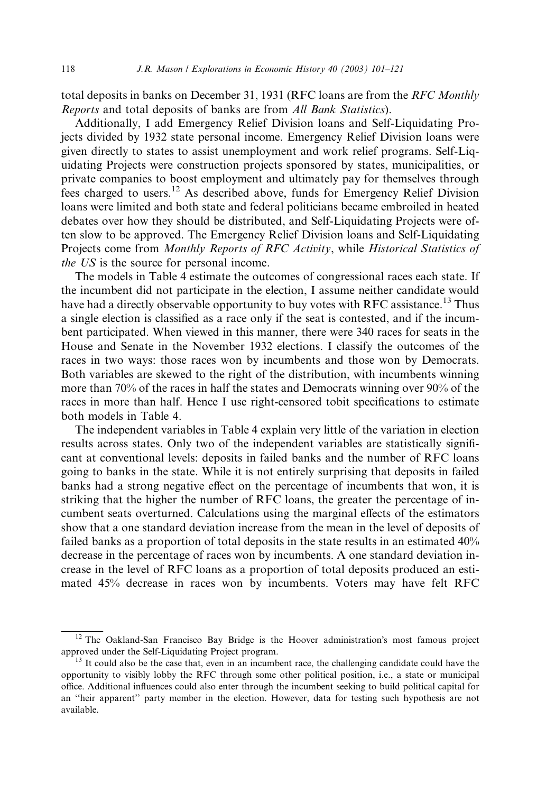total deposits in banks on December 31, 1931 (RFC loans are from the *RFC Monthly* Reports and total deposits of banks are from All Bank Statistics).

Additionally, I add Emergency Relief Division loans and Self-Liquidating Projects divided by 1932 state personal income. Emergency Relief Division loans were given directly to states to assist unemployment and work relief programs. Self-Liquidating Projects were construction projects sponsored by states, municipalities, or private companies to boost employment and ultimately pay for themselves through fees charged to users.<sup>12</sup> As described above, funds for Emergency Relief Division loans were limited and both state and federal politicians became embroiled in heated debates over how they should be distributed, and Self-Liquidating Projects were often slow to be approved. The Emergency Relief Division loans and Self-Liquidating Projects come from Monthly Reports of RFC Activity, while Historical Statistics of the US is the source for personal income.

The models in Table 4 estimate the outcomes of congressional races each state. If the incumbent did not participate in the election, I assume neither candidate would have had a directly observable opportunity to buy votes with RFC assistance.<sup>13</sup> Thus a single election is classified as a race only if the seat is contested, and if the incumbent participated. When viewed in this manner, there were 340 races for seats in the House and Senate in the November 1932 elections. I classify the outcomes of the races in two ways: those races won by incumbents and those won by Democrats. Both variables are skewed to the right of the distribution, with incumbents winning more than 70% of the races in half the states and Democrats winning over 90% of the races in more than half. Hence I use right-censored tobit specifications to estimate both models in Table 4.

The independent variables in Table 4 explain very little of the variation in election results across states. Only two of the independent variables are statistically significant at conventional levels: deposits in failed banks and the number of RFC loans going to banks in the state. While it is not entirely surprising that deposits in failed banks had a strong negative effect on the percentage of incumbents that won, it is striking that the higher the number of RFC loans, the greater the percentage of incumbent seats overturned. Calculations using the marginal effects of the estimators show that a one standard deviation increase from the mean in the level of deposits of failed banks as a proportion of total deposits in the state results in an estimated 40% decrease in the percentage of races won by incumbents. Aone standard deviation increase in the level of RFC loans as a proportion of total deposits produced an estimated 45% decrease in races won by incumbents. Voters may have felt RFC

 $12$  The Oakland-San Francisco Bay Bridge is the Hoover administration's most famous project approved under the Self-Liquidating Project program.

<sup>&</sup>lt;sup>13</sup> It could also be the case that, even in an incumbent race, the challenging candidate could have the opportunity to visibly lobby the RFC through some other political position, i.e., a state or municipal office. Additional influences could also enter through the incumbent seeking to build political capital for an ''heir apparent'' party member in the election. However, data for testing such hypothesis are not available.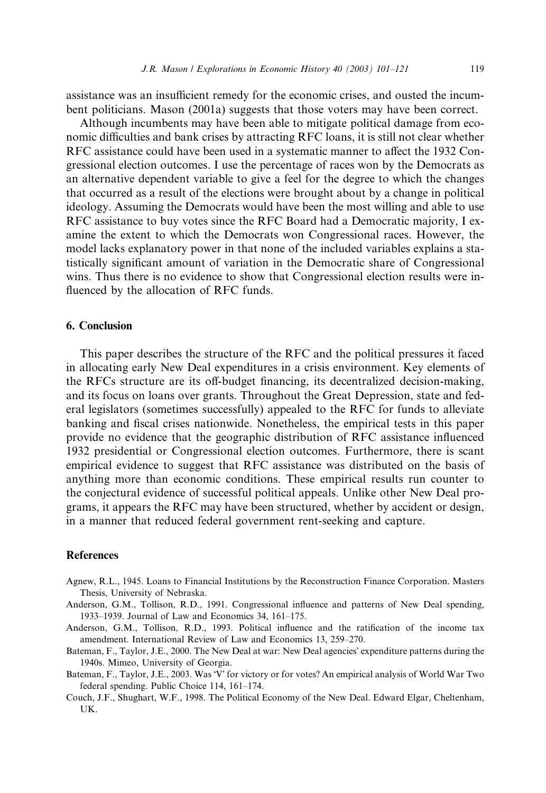assistance was an insufficient remedy for the economic crises, and ousted the incumbent politicians. Mason (2001a) suggests that those voters may have been correct.

Although incumbents may have been able to mitigate political damage from economic difficulties and bank crises by attracting RFC loans, it is still not clear whether RFC assistance could have been used in a systematic manner to affect the 1932 Congressional election outcomes. I use the percentage of races won by the Democrats as an alternative dependent variable to give a feel for the degree to which the changes that occurred as a result of the elections were brought about by a change in political ideology. Assuming the Democrats would have been the most willing and able to use RFC assistance to buy votes since the RFC Board had a Democratic majority, I examine the extent to which the Democrats won Congressional races. However, the model lacks explanatory power in that none of the included variables explains a statistically significant amount of variation in the Democratic share of Congressional wins. Thus there is no evidence to show that Congressional election results were influenced by the allocation of RFC funds.

## 6. Conclusion

This paper describes the structure of the RFC and the political pressures it faced in allocating early New Deal expenditures in a crisis environment. Key elements of the RFCs structure are its off-budget financing, its decentralized decision-making, and its focus on loans over grants. Throughout the Great Depression, state and federal legislators (sometimes successfully) appealed to the RFC for funds to alleviate banking and fiscal crises nationwide. Nonetheless, the empirical tests in this paper provide no evidence that the geographic distribution of RFC assistance influenced 1932 presidential or Congressional election outcomes. Furthermore, there is scant empirical evidence to suggest that RFC assistance was distributed on the basis of anything more than economic conditions. These empirical results run counter to the conjectural evidence of successful political appeals. Unlike other New Deal programs, it appears the RFC may have been structured, whether by accident or design, in a manner that reduced federal government rent-seeking and capture.

## **References**

- Agnew, R.L., 1945. Loans to Financial Institutions by the Reconstruction Finance Corporation. Masters Thesis, University of Nebraska.
- Anderson, G.M., Tollison, R.D., 1991. Congressional influence and patterns of New Deal spending, 1933–1939. Journal of Law and Economics 34, 161–175.
- Anderson, G.M., Tollison, R.D., 1993. Political influence and the ratification of the income tax amendment. International Review of Law and Economics 13, 259–270.
- Bateman, F., Taylor, J.E., 2000. The New Deal at war: New Deal agencies' expenditure patterns during the 1940s. Mimeo, University of Georgia.
- Bateman, F., Taylor, J.E., 2003. Was 'V' for victory or for votes? An empirical analysis of World War Two federal spending. Public Choice 114, 161–174.
- Couch, J.F., Shughart, W.F., 1998. The Political Economy of the New Deal. Edward Elgar, Cheltenham, UK.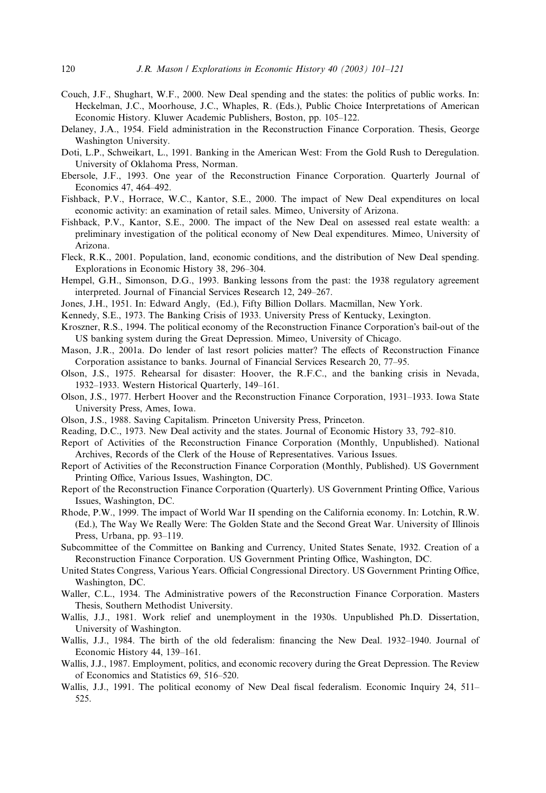- Couch, J.F., Shughart, W.F., 2000. New Deal spending and the states: the politics of public works. In: Heckelman, J.C., Moorhouse, J.C., Whaples, R. (Eds.), Public Choice Interpretations of American Economic History. Kluwer Academic Publishers, Boston, pp. 105–122.
- Delaney, J.A., 1954. Field administration in the Reconstruction Finance Corporation. Thesis, George Washington University.
- Doti, L.P., Schweikart, L., 1991. Banking in the American West: From the Gold Rush to Deregulation. University of Oklahoma Press, Norman.
- Ebersole, J.F., 1993. One year of the Reconstruction Finance Corporation. Quarterly Journal of Economics 47, 464–492.
- Fishback, P.V., Horrace, W.C., Kantor, S.E., 2000. The impact of New Deal expenditures on local economic activity: an examination of retail sales. Mimeo, University of Arizona.
- Fishback, P.V., Kantor, S.E., 2000. The impact of the New Deal on assessed real estate wealth: a preliminary investigation of the political economy of New Deal expenditures. Mimeo, University of Arizona.
- Fleck, R.K., 2001. Population, land, economic conditions, and the distribution of New Deal spending. Explorations in Economic History 38, 296–304.
- Hempel, G.H., Simonson, D.G., 1993. Banking lessons from the past: the 1938 regulatory agreement interpreted. Journal of Financial Services Research 12, 249–267.
- Jones, J.H., 1951. In: Edward Angly, (Ed.), Fifty Billion Dollars. Macmillan, New York.
- Kennedy, S.E., 1973. The Banking Crisis of 1933. University Press of Kentucky, Lexington.
- Kroszner, R.S., 1994. The political economy of the Reconstruction Finance Corporation's bail-out of the US banking system during the Great Depression. Mimeo, University of Chicago.
- Mason, J.R., 2001a. Do lender of last resort policies matter? The effects of Reconstruction Finance Corporation assistance to banks. Journal of Financial Services Research 20, 77–95.
- Olson, J.S., 1975. Rehearsal for disaster: Hoover, the R.F.C., and the banking crisis in Nevada, 1932–1933. Western Historical Quarterly, 149–161.
- Olson, J.S., 1977. Herbert Hoover and the Reconstruction Finance Corporation, 1931–1933. Iowa State University Press, Ames, Iowa.
- Olson, J.S., 1988. Saving Capitalism. Princeton University Press, Princeton.
- Reading, D.C., 1973. New Deal activity and the states. Journal of Economic History 33, 792–810.
- Report of Activities of the Reconstruction Finance Corporation (Monthly, Unpublished). National Archives, Records of the Clerk of the House of Representatives. Various Issues.
- Report of Activities of the Reconstruction Finance Corporation (Monthly, Published). US Government Printing Office, Various Issues, Washington, DC.
- Report of the Reconstruction Finance Corporation (Quarterly). US Government Printing Office, Various Issues, Washington, DC.
- Rhode, P.W., 1999. The impact of World War II spending on the California economy. In: Lotchin, R.W. (Ed.), The Way We Really Were: The Golden State and the Second Great War. University of Illinois Press, Urbana, pp. 93–119.
- Subcommittee of the Committee on Banking and Currency, United States Senate, 1932. Creation of a Reconstruction Finance Corporation. US Government Printing Office, Washington, DC.
- United States Congress, Various Years. Official Congressional Directory. US Government Printing Office, Washington, DC.
- Waller, C.L., 1934. The Administrative powers of the Reconstruction Finance Corporation. Masters Thesis, Southern Methodist University.
- Wallis, J.J., 1981. Work relief and unemployment in the 1930s. Unpublished Ph.D. Dissertation, University of Washington.
- Wallis, J.J., 1984. The birth of the old federalism: financing the New Deal. 1932–1940. Journal of Economic History 44, 139–161.
- Wallis, J.J., 1987. Employment, politics, and economic recovery during the Great Depression. The Review of Economics and Statistics 69, 516–520.
- Wallis, J.J., 1991. The political economy of New Deal fiscal federalism. Economic Inquiry 24, 511– 525.